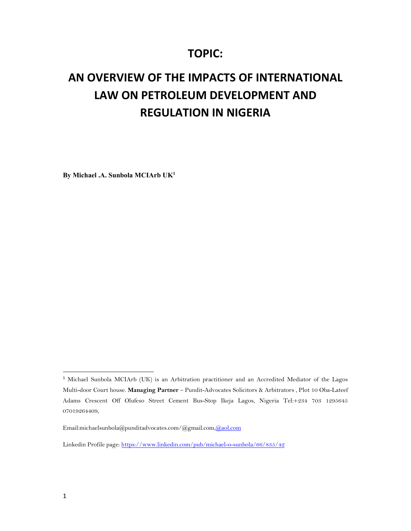## **TOPIC:**

# **AN OVERVIEW OF THE IMPACTS OF INTERNATIONAL LAW ON PETROLEUM DEVELOPMENT AND REGULATION IN NIGERIA**

**By Michael .A. Sunbola MCIArb UK1**

<sup>1</sup> Michael Sunbola MCIArb (UK) is an Arbitration practitioner and an Accredited Mediator of the Lagos Multi-door Court house. **Managing Partner** – Pundit-Advocates Solicitors & Arbitrators , Plot 10 Oba-Lateef Adams Crescent Off Olufeso Street Cement Bus-Stop Ikeja Lagos, Nigeria Tel:+234 703 1295645 07019264409,

Email:michaelsunbola@punditadvocates.com/@gmail.com,@aol.com

Linkedin Profile page: https://www.linkedin.com/pub/michael-o-sunbola/66/835/42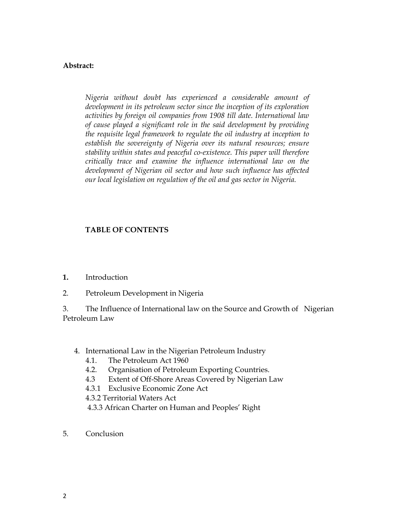### **Abstract:**

*Nigeria without doubt has experienced a considerable amount of development in its petroleum sector since the inception of its exploration activities by foreign oil companies from 1908 till date. International law of cause played a significant role in the said development by providing the requisite legal framework to regulate the oil industry at inception to establish the sovereignty of Nigeria over its natural resources; ensure stability within states and peaceful co-existence. This paper will therefore critically trace and examine the influence international law on the development of Nigerian oil sector and how such influence has affected our local legislation on regulation of the oil and gas sector in Nigeria.* 

### **TABLE OF CONTENTS**

- **1.** Introduction
- 2. Petroleum Development in Nigeria

3. The Influence of International law on the Source and Growth of Nigerian Petroleum Law

- 4. International Law in the Nigerian Petroleum Industry
	- 4.1. The Petroleum Act 1960
	- 4.2. Organisation of Petroleum Exporting Countries.
	- 4.3 Extent of Off-Shore Areas Covered by Nigerian Law
	- 4.3.1 Exclusive Economic Zone Act

4.3.2 Territorial Waters Act

- 4.3.3 African Charter on Human and Peoples' Right
- 5. Conclusion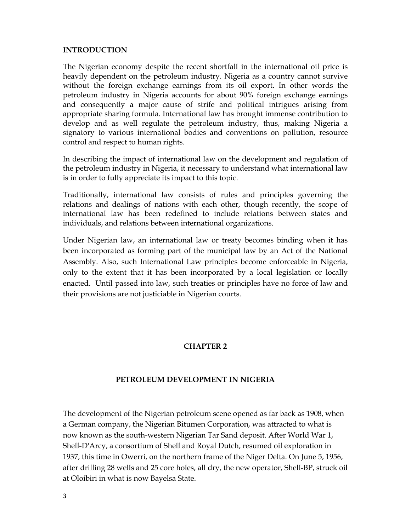#### **INTRODUCTION**

The Nigerian economy despite the recent shortfall in the international oil price is heavily dependent on the petroleum industry. Nigeria as a country cannot survive without the foreign exchange earnings from its oil export. In other words the petroleum industry in Nigeria accounts for about 90% foreign exchange earnings and consequently a major cause of strife and political intrigues arising from appropriate sharing formula. International law has brought immense contribution to develop and as well regulate the petroleum industry, thus, making Nigeria a signatory to various international bodies and conventions on pollution, resource control and respect to human rights.

In describing the impact of international law on the development and regulation of the petroleum industry in Nigeria, it necessary to understand what international law is in order to fully appreciate its impact to this topic.

Traditionally, international law consists of rules and principles governing the relations and dealings of nations with each other, though recently, the scope of international law has been redefined to include relations between states and individuals, and relations between international organizations.

Under Nigerian law, an international law or treaty becomes binding when it has been incorporated as forming part of the municipal law by an Act of the National Assembly. Also, such International Law principles become enforceable in Nigeria, only to the extent that it has been incorporated by a local legislation or locally enacted. Until passed into law, such treaties or principles have no force of law and their provisions are not justiciable in Nigerian courts.

### **CHAPTER 2**

### **PETROLEUM DEVELOPMENT IN NIGERIA**

The development of the Nigerian petroleum scene opened as far back as 1908, when a German company, the Nigerian Bitumen Corporation, was attracted to what is now known as the south-western Nigerian Tar Sand deposit. After World War 1, Shell-D'Arcy, a consortium of Shell and Royal Dutch, resumed oil exploration in 1937, this time in Owerri, on the northern frame of the Niger Delta. On June 5, 1956, after drilling 28 wells and 25 core holes, all dry, the new operator, Shell-BP, struck oil at Oloibiri in what is now Bayelsa State.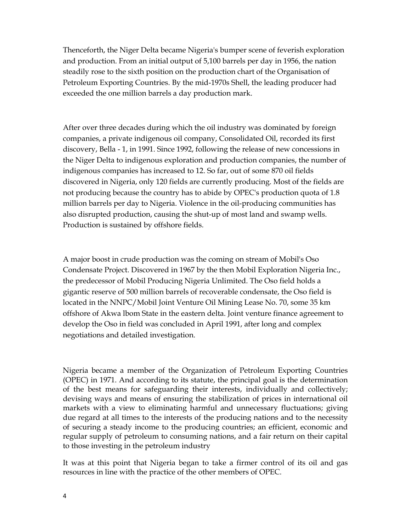Thenceforth, the Niger Delta became Nigeria's bumper scene of feverish exploration and production. From an initial output of 5,100 barrels per day in 1956, the nation steadily rose to the sixth position on the production chart of the Organisation of Petroleum Exporting Countries. By the mid-1970s Shell, the leading producer had exceeded the one million barrels a day production mark.

After over three decades during which the oil industry was dominated by foreign companies, a private indigenous oil company, Consolidated Oil, recorded its first discovery, Bella - 1, in 1991. Since 1992, following the release of new concessions in the Niger Delta to indigenous exploration and production companies, the number of indigenous companies has increased to 12. So far, out of some 870 oil fields discovered in Nigeria, only 120 fields are currently producing. Most of the fields are not producing because the country has to abide by OPEC's production quota of 1.8 million barrels per day to Nigeria. Violence in the oil-producing communities has also disrupted production, causing the shut-up of most land and swamp wells. Production is sustained by offshore fields.

A major boost in crude production was the coming on stream of Mobil's Oso Condensate Project. Discovered in 1967 by the then Mobil Exploration Nigeria Inc., the predecessor of Mobil Producing Nigeria Unlimited. The Oso field holds a gigantic reserve of 500 million barrels of recoverable condensate, the Oso field is located in the NNPC/Mobil Joint Venture Oil Mining Lease No. 70, some 35 km offshore of Akwa lbom State in the eastern delta. Joint venture finance agreement to develop the Oso in field was concluded in April 1991, after long and complex negotiations and detailed investigation.

Nigeria became a member of the Organization of Petroleum Exporting Countries (OPEC) in 1971. And according to its statute, the principal goal is the determination of the best means for safeguarding their interests, individually and collectively; devising ways and means of ensuring the stabilization of prices in international oil markets with a view to eliminating harmful and unnecessary fluctuations; giving due regard at all times to the interests of the producing nations and to the necessity of securing a steady income to the producing countries; an efficient, economic and regular supply of petroleum to consuming nations, and a fair return on their capital to those investing in the petroleum industry

It was at this point that Nigeria began to take a firmer control of its oil and gas resources in line with the practice of the other members of OPEC.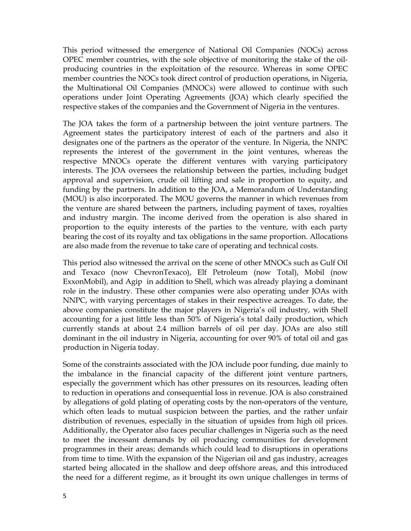This period witnessed the emergence of National Oil Companies (NOCs) across OPEC member countries, with the sole objective of monitoring the stake of the oil‐ producing countries in the exploitation of the resource. Whereas in some OPEC member countries the NOCs took direct control of production operations, in Nigeria, the Multinational Oil Companies (MNOCs) were allowed to continue with such operations under Joint Operating Agreements (JOA) which clearly specified the respective stakes of the companies and the Government of Nigeria in the ventures.

The JOA takes the form of a partnership between the joint venture partners. The Agreement states the participatory interest of each of the partners and also it designates one of the partners as the operator of the venture. In Nigeria, the NNPC represents the interest of the government in the joint ventures, whereas the respective MNOCs operate the different ventures with varying participatory interests. The JOA oversees the relationship between the parties, including budget approval and supervision, crude oil lifting and sale in proportion to equity, and funding by the partners. In addition to the JOA, a Memorandum of Understanding (MOU) is also incorporated. The MOU governs the manner in which revenues from the venture are shared between the partners, including payment of taxes, royalties and industry margin. The income derived from the operation is also shared in proportion to the equity interests of the parties to the venture, with each party bearing the cost of its royalty and tax obligations in the same proportion. Allocations are also made from the revenue to take care of operating and technical costs.

This period also witnessed the arrival on the scene of other MNOCs such as Gulf Oil and Texaco (now ChevronTexaco), Elf Petroleum (now Total), Mobil (now ExxonMobil), and Agip in addition to Shell, which was already playing a dominant role in the industry. These other companies were also operating under JOAs with NNPC, with varying percentages of stakes in their respective acreages. To date, the above companies constitute the major players in Nigeria's oil industry, with Shell accounting for a just little less than 50% of Nigeria's total daily production, which currently stands at about 2.4 million barrels of oil per day. JOAs are also still dominant in the oil industry in Nigeria, accounting for over 90% of total oil and gas production in Nigeria today.

Some of the constraints associated with the JOA include poor funding, due mainly to the imbalance in the financial capacity of the different joint venture partners, especially the government which has other pressures on its resources, leading often to reduction in operations and consequential loss in revenue. JOA is also constrained by allegations of gold plating of operating costs by the non‐operators of the venture, which often leads to mutual suspicion between the parties, and the rather unfair distribution of revenues, especially in the situation of upsides from high oil prices. Additionally, the Operator also faces peculiar challenges in Nigeria such as the need to meet the incessant demands by oil producing communities for development programmes in their areas; demands which could lead to disruptions in operations from time to time. With the expansion of the Nigerian oil and gas industry, acreages started being allocated in the shallow and deep offshore areas, and this introduced the need for a different regime, as it brought its own unique challenges in terms of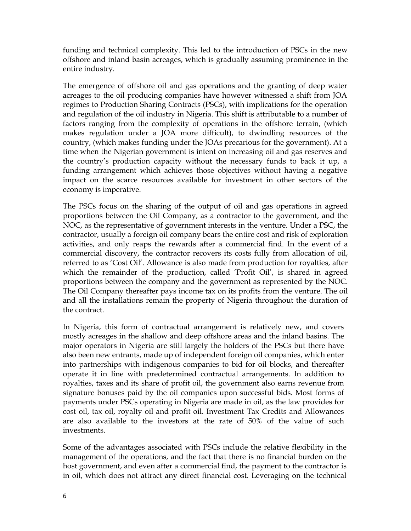funding and technical complexity. This led to the introduction of PSCs in the new offshore and inland basin acreages, which is gradually assuming prominence in the entire industry.

The emergence of offshore oil and gas operations and the granting of deep water acreages to the oil producing companies have however witnessed a shift from JOA regimes to Production Sharing Contracts (PSCs), with implications for the operation and regulation of the oil industry in Nigeria. This shift is attributable to a number of factors ranging from the complexity of operations in the offshore terrain, (which makes regulation under a JOA more difficult), to dwindling resources of the country, (which makes funding under the JOAs precarious for the government). At a time when the Nigerian government is intent on increasing oil and gas reserves and the country's production capacity without the necessary funds to back it up, a funding arrangement which achieves those objectives without having a negative impact on the scarce resources available for investment in other sectors of the economy is imperative.

The PSCs focus on the sharing of the output of oil and gas operations in agreed proportions between the Oil Company, as a contractor to the government, and the NOC, as the representative of government interests in the venture. Under a PSC, the contractor, usually a foreign oil company bears the entire cost and risk of exploration activities, and only reaps the rewards after a commercial find. In the event of a commercial discovery, the contractor recovers its costs fully from allocation of oil, referred to as 'Cost Oil'. Allowance is also made from production for royalties, after which the remainder of the production, called 'Profit Oil', is shared in agreed proportions between the company and the government as represented by the NOC. The Oil Company thereafter pays income tax on its profits from the venture. The oil and all the installations remain the property of Nigeria throughout the duration of the contract.

In Nigeria, this form of contractual arrangement is relatively new, and covers mostly acreages in the shallow and deep offshore areas and the inland basins. The major operators in Nigeria are still largely the holders of the PSCs but there have also been new entrants, made up of independent foreign oil companies, which enter into partnerships with indigenous companies to bid for oil blocks, and thereafter operate it in line with predetermined contractual arrangements. In addition to royalties, taxes and its share of profit oil, the government also earns revenue from signature bonuses paid by the oil companies upon successful bids. Most forms of payments under PSCs operating in Nigeria are made in oil, as the law provides for cost oil, tax oil, royalty oil and profit oil. Investment Tax Credits and Allowances are also available to the investors at the rate of 50% of the value of such investments.

Some of the advantages associated with PSCs include the relative flexibility in the management of the operations, and the fact that there is no financial burden on the host government, and even after a commercial find, the payment to the contractor is in oil, which does not attract any direct financial cost. Leveraging on the technical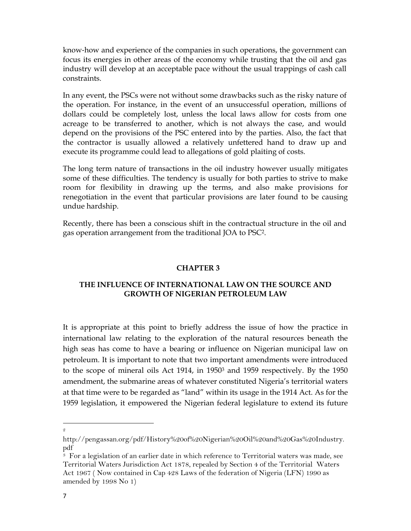know‐how and experience of the companies in such operations, the government can focus its energies in other areas of the economy while trusting that the oil and gas industry will develop at an acceptable pace without the usual trappings of cash call constraints.

In any event, the PSCs were not without some drawbacks such as the risky nature of the operation. For instance, in the event of an unsuccessful operation, millions of dollars could be completely lost, unless the local laws allow for costs from one acreage to be transferred to another, which is not always the case, and would depend on the provisions of the PSC entered into by the parties. Also, the fact that the contractor is usually allowed a relatively unfettered hand to draw up and execute its programme could lead to allegations of gold plaiting of costs.

The long term nature of transactions in the oil industry however usually mitigates some of these difficulties. The tendency is usually for both parties to strive to make room for flexibility in drawing up the terms, and also make provisions for renegotiation in the event that particular provisions are later found to be causing undue hardship.

Recently, there has been a conscious shift in the contractual structure in the oil and gas operation arrangement from the traditional JOA to PSC2.

#### **CHAPTER 3**

### **THE INFLUENCE OF INTERNATIONAL LAW ON THE SOURCE AND GROWTH OF NIGERIAN PETROLEUM LAW**

It is appropriate at this point to briefly address the issue of how the practice in international law relating to the exploration of the natural resources beneath the high seas has come to have a bearing or influence on Nigerian municipal law on petroleum. It is important to note that two important amendments were introduced to the scope of mineral oils Act 1914, in 1950<sup>3</sup> and 1959 respectively. By the 1950 amendment, the submarine areas of whatever constituted Nigeria's territorial waters at that time were to be regarded as "land" within its usage in the 1914 Act. As for the 1959 legislation, it empowered the Nigerian federal legislature to extend its future

<sup>2</sup>

http://pengassan.org/pdf/History%20of%20Nigerian%20Oil%20and%20Gas%20Industry. pdf

<sup>&</sup>lt;sup>3</sup> For a legislation of an earlier date in which reference to Territorial waters was made, see Territorial Waters Jurisdiction Act 1878, repealed by Section 4 of the Territorial Waters Act 1967 ( Now contained in Cap 428 Laws of the federation of Nigeria (LFN) 1990 as amended by 1998 No 1)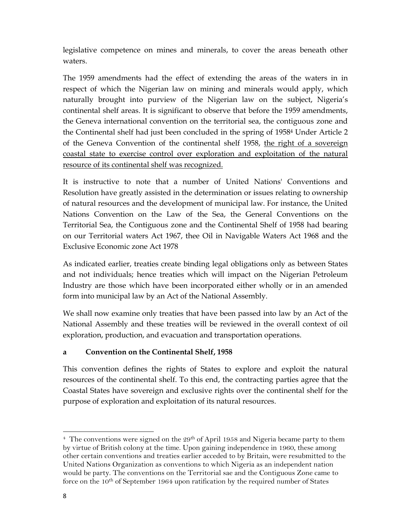legislative competence on mines and minerals, to cover the areas beneath other waters.

The 1959 amendments had the effect of extending the areas of the waters in in respect of which the Nigerian law on mining and minerals would apply, which naturally brought into purview of the Nigerian law on the subject, Nigeria's continental shelf areas. It is significant to observe that before the 1959 amendments, the Geneva international convention on the territorial sea, the contiguous zone and the Continental shelf had just been concluded in the spring of 19584 Under Article 2 of the Geneva Convention of the continental shelf 1958, the right of a sovereign coastal state to exercise control over exploration and exploitation of the natural resource of its continental shelf was recognized.

It is instructive to note that a number of United Nations' Conventions and Resolution have greatly assisted in the determination or issues relating to ownership of natural resources and the development of municipal law. For instance, the United Nations Convention on the Law of the Sea, the General Conventions on the Territorial Sea, the Contiguous zone and the Continental Shelf of 1958 had bearing on our Territorial waters Act 1967, thee Oil in Navigable Waters Act 1968 and the Exclusive Economic zone Act 1978

As indicated earlier, treaties create binding legal obligations only as between States and not individuals; hence treaties which will impact on the Nigerian Petroleum Industry are those which have been incorporated either wholly or in an amended form into municipal law by an Act of the National Assembly.

We shall now examine only treaties that have been passed into law by an Act of the National Assembly and these treaties will be reviewed in the overall context of oil exploration, production, and evacuation and transportation operations.

### **a Convention on the Continental Shelf, 1958**

This convention defines the rights of States to explore and exploit the natural resources of the continental shelf. To this end, the contracting parties agree that the Coastal States have sovereign and exclusive rights over the continental shelf for the purpose of exploration and exploitation of its natural resources.

  $4$  The conventions were signed on the 29<sup>th</sup> of April 1958 and Nigeria became party to them by virtue of British colony at the time. Upon gaining independence in 1960, these among other certain conventions and treaties earlier acceded to by Britain, were resubmitted to the United Nations Organization as conventions to which Nigeria as an independent nation would be party. The conventions on the Territorial sae and the Contiguous Zone came to force on the  $10<sup>th</sup>$  of September 1964 upon ratification by the required number of States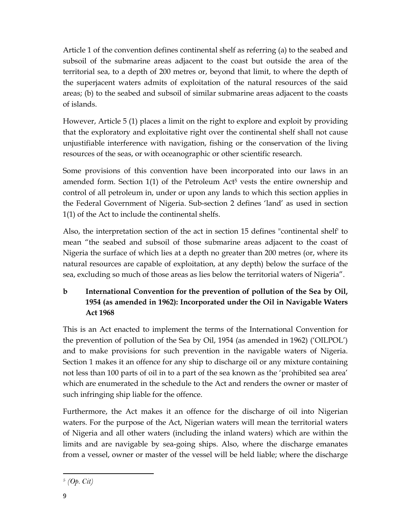Article 1 of the convention defines continental shelf as referring (a) to the seabed and subsoil of the submarine areas adjacent to the coast but outside the area of the territorial sea, to a depth of 200 metres or, beyond that limit, to where the depth of the superjacent waters admits of exploitation of the natural resources of the said areas; (b) to the seabed and subsoil of similar submarine areas adjacent to the coasts of islands.

However, Article 5 (1) places a limit on the right to explore and exploit by providing that the exploratory and exploitative right over the continental shelf shall not cause unjustifiable interference with navigation, fishing or the conservation of the living resources of the seas, or with oceanographic or other scientific research.

Some provisions of this convention have been incorporated into our laws in an amended form. Section  $1(1)$  of the Petroleum Act<sup>5</sup> vests the entire ownership and control of all petroleum in, under or upon any lands to which this section applies in the Federal Government of Nigeria. Sub-section 2 defines 'land' as used in section 1(1) of the Act to include the continental shelfs.

Also, the interpretation section of the act in section 15 defines "continental shelf' to mean "the seabed and subsoil of those submarine areas adjacent to the coast of Nigeria the surface of which lies at a depth no greater than 200 metres (or, where its natural resources are capable of exploitation, at any depth) below the surface of the sea, excluding so much of those areas as lies below the territorial waters of Nigeria".

### **b International Convention for the prevention of pollution of the Sea by Oil, 1954 (as amended in 1962): Incorporated under the Oil in Navigable Waters Act 1968**

This is an Act enacted to implement the terms of the International Convention for the prevention of pollution of the Sea by Oil, 1954 (as amended in 1962) ('OILPOL') and to make provisions for such prevention in the navigable waters of Nigeria. Section 1 makes it an offence for any ship to discharge oil or any mixture containing not less than 100 parts of oil in to a part of the sea known as the 'prohibited sea area' which are enumerated in the schedule to the Act and renders the owner or master of such infringing ship liable for the offence.

Furthermore, the Act makes it an offence for the discharge of oil into Nigerian waters. For the purpose of the Act, Nigerian waters will mean the territorial waters of Nigeria and all other waters (including the inland waters) which are within the limits and are navigable by sea-going ships. Also, where the discharge emanates from a vessel, owner or master of the vessel will be held liable; where the discharge

 <sup>5</sup> *(Op. Cit)*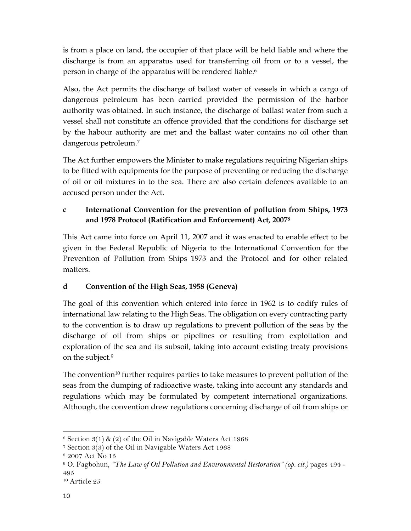is from a place on land, the occupier of that place will be held liable and where the discharge is from an apparatus used for transferring oil from or to a vessel, the person in charge of the apparatus will be rendered liable.<sup>6</sup>

Also, the Act permits the discharge of ballast water of vessels in which a cargo of dangerous petroleum has been carried provided the permission of the harbor authority was obtained. In such instance, the discharge of ballast water from such a vessel shall not constitute an offence provided that the conditions for discharge set by the habour authority are met and the ballast water contains no oil other than dangerous petroleum.7

The Act further empowers the Minister to make regulations requiring Nigerian ships to be fitted with equipments for the purpose of preventing or reducing the discharge of oil or oil mixtures in to the sea. There are also certain defences available to an accused person under the Act.

### **c International Convention for the prevention of pollution from Ships, 1973 and 1978 Protocol (Ratification and Enforcement) Act, 20078**

This Act came into force on April 11, 2007 and it was enacted to enable effect to be given in the Federal Republic of Nigeria to the International Convention for the Prevention of Pollution from Ships 1973 and the Protocol and for other related matters.

### **d Convention of the High Seas, 1958 (Geneva)**

The goal of this convention which entered into force in 1962 is to codify rules of international law relating to the High Seas. The obligation on every contracting party to the convention is to draw up regulations to prevent pollution of the seas by the discharge of oil from ships or pipelines or resulting from exploitation and exploration of the sea and its subsoil, taking into account existing treaty provisions on the subject.9

The convention<sup>10</sup> further requires parties to take measures to prevent pollution of the seas from the dumping of radioactive waste, taking into account any standards and regulations which may be formulated by competent international organizations. Although, the convention drew regulations concerning discharge of oil from ships or

  $6$  Section  $3(1)$  &  $(2)$  of the Oil in Navigable Waters Act 1968

<sup>7</sup> Section 3(3) of the Oil in Navigable Waters Act 1968

<sup>8 2007</sup> Act No 15

<sup>9</sup> O. Fagbohun, *"The Law of Oil Pollution and Environmental Restoration" (op. cit.)* pages 494 - 495

<sup>10</sup> Article 25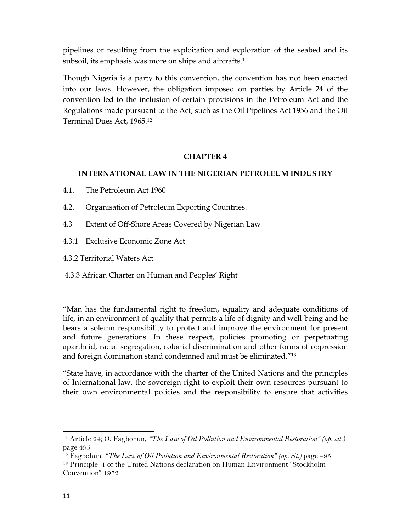pipelines or resulting from the exploitation and exploration of the seabed and its subsoil, its emphasis was more on ships and aircrafts.<sup>11</sup>

Though Nigeria is a party to this convention, the convention has not been enacted into our laws. However, the obligation imposed on parties by Article 24 of the convention led to the inclusion of certain provisions in the Petroleum Act and the Regulations made pursuant to the Act, such as the Oil Pipelines Act 1956 and the Oil Terminal Dues Act, 1965.12

### **CHAPTER 4**

### **INTERNATIONAL LAW IN THE NIGERIAN PETROLEUM INDUSTRY**

- 4.1. The Petroleum Act 1960
- 4.2. Organisation of Petroleum Exporting Countries.
- 4.3 Extent of Off-Shore Areas Covered by Nigerian Law
- 4.3.1 Exclusive Economic Zone Act

4.3.2 Territorial Waters Act

4.3.3 African Charter on Human and Peoples' Right

"Man has the fundamental right to freedom, equality and adequate conditions of life, in an environment of quality that permits a life of dignity and well-being and he bears a solemn responsibility to protect and improve the environment for present and future generations. In these respect, policies promoting or perpetuating apartheid, racial segregation, colonial discrimination and other forms of oppression and foreign domination stand condemned and must be eliminated."13

"State have, in accordance with the charter of the United Nations and the principles of International law, the sovereign right to exploit their own resources pursuant to their own environmental policies and the responsibility to ensure that activities

<sup>11</sup> Article 24; O. Fagbohun, *"The Law of Oil Pollution and Environmental Restoration" (op. cit.)* page 495

<sup>&</sup>lt;sup>12</sup> Fagbohun, *"The Law of Oil Pollution and Environmental Restoration" (op. cit.)* page 495<br><sup>13</sup> Principle 1 of the United Nations declaration on Human Environment "Stockholm

Convention" 1972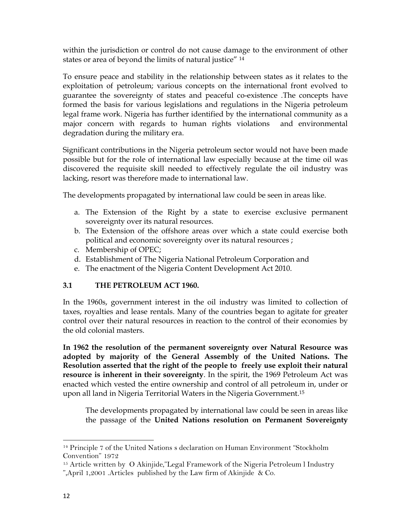within the jurisdiction or control do not cause damage to the environment of other states or area of beyond the limits of natural justice" 14

To ensure peace and stability in the relationship between states as it relates to the exploitation of petroleum; various concepts on the international front evolved to guarantee the sovereignty of states and peaceful co-existence .The concepts have formed the basis for various legislations and regulations in the Nigeria petroleum legal frame work. Nigeria has further identified by the international community as a major concern with regards to human rights violations and environmental degradation during the military era.

Significant contributions in the Nigeria petroleum sector would not have been made possible but for the role of international law especially because at the time oil was discovered the requisite skill needed to effectively regulate the oil industry was lacking, resort was therefore made to international law.

The developments propagated by international law could be seen in areas like.

- a. The Extension of the Right by a state to exercise exclusive permanent sovereignty over its natural resources.
- b. The Extension of the offshore areas over which a state could exercise both political and economic sovereignty over its natural resources ;
- c. Membership of OPEC;

- d. Establishment of The Nigeria National Petroleum Corporation and
- e. The enactment of the Nigeria Content Development Act 2010.

### **3.1 THE PETROLEUM ACT 1960.**

In the 1960s, government interest in the oil industry was limited to collection of taxes, royalties and lease rentals. Many of the countries began to agitate for greater control over their natural resources in reaction to the control of their economies by the old colonial masters.

**In 1962 the resolution of the permanent sovereignty over Natural Resource was adopted by majority of the General Assembly of the United Nations. The Resolution asserted that the right of the people to freely use exploit their natural resource is inherent in their sovereignty**. In the spirit, the 1969 Petroleum Act was enacted which vested the entire ownership and control of all petroleum in, under or upon all land in Nigeria Territorial Waters in the Nigeria Government.15

The developments propagated by international law could be seen in areas like the passage of the **United Nations resolution on Permanent Sovereignty** 

<sup>14</sup> Principle 7 of the United Nations s declaration on Human Environment "Stockholm Convention" 1972

<sup>&</sup>lt;sup>15</sup> Article written by O Akinjide,"Legal Framework of the Nigeria Petroleum l Industry ",April 1,2001 .Articles published by the Law firm of Akinjide & Co.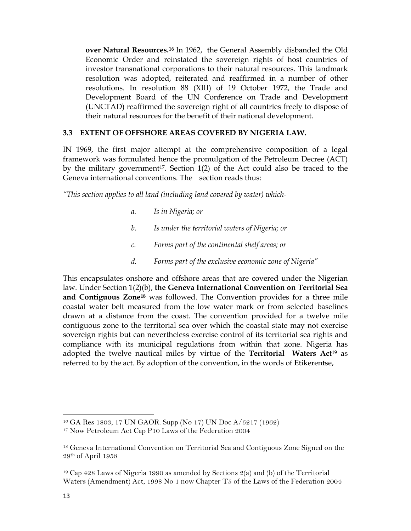**over Natural Resources.16** ln 1962, the General Assembly disbanded the Old Economic Order and reinstated the sovereign rights of host countries of investor transnational corporations to their natural resources. This landmark resolution was adopted, reiterated and reaffirmed in a number of other resolutions. In resolution 88 (XIII) of 19 October 1972, the Trade and Development Board of the UN Conference on Trade and Development (UNCTAD) reaffirmed the sovereign right of all countries freely to dispose of their natural resources for the benefit of their national development.

### **3.3 EXTENT OF OFFSHORE AREAS COVERED BY NIGERIA LAW.**

IN 1969, the first major attempt at the comprehensive composition of a legal framework was formulated hence the promulgation of the Petroleum Decree (ACT) by the military government<sup>17</sup>. Section  $1(2)$  of the Act could also be traced to the Geneva international conventions. The section reads thus:

*"This section applies to all land (including land covered by water) which-*

- *a. Is in Nigeria; or*
- *b. Is under the territorial waters of Nigeria; or*
- *c. Forms part of the continental shelf areas; or*
- *d. Forms part of the exclusive economic zone of Nigeria"*

This encapsulates onshore and offshore areas that are covered under the Nigerian law. Under Section 1(2)(b), **the Geneva International Convention on Territorial Sea and Contiguous Zone18** was followed. The Convention provides for a three mile coastal water belt measured from the low water mark or from selected baselines drawn at a distance from the coast. The convention provided for a twelve mile contiguous zone to the territorial sea over which the coastal state may not exercise sovereign rights but can nevertheless exercise control of its territorial sea rights and compliance with its municipal regulations from within that zone. Nigeria has adopted the twelve nautical miles by virtue of the **Territorial Waters Act19** as referred to by the act. By adoption of the convention, in the words of Etikerentse,

<sup>16</sup> GA Res 1803, 17 UN GAOR. Supp (No 17) UN Doc A/5217 (1962)

<sup>17</sup> Now Petroleum Act Cap P10 Laws of the Federation 2004

<sup>18</sup> Geneva International Convention on Territorial Sea and Contiguous Zone Signed on the 29th of April 1958

<sup>19</sup> Cap 428 Laws of Nigeria 1990 as amended by Sections 2(a) and (b) of the Territorial Waters (Amendment) Act, 1998 No 1 now Chapter T5 of the Laws of the Federation 2004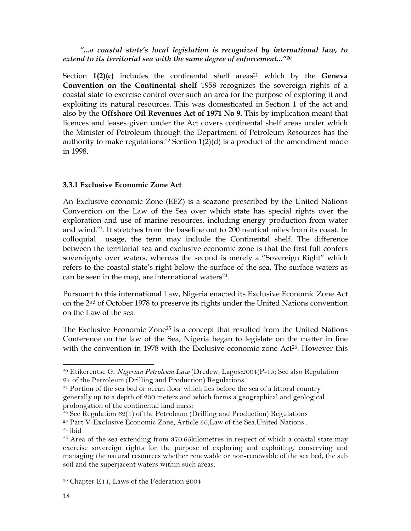### *"...a coastal state's local legislation is recognized by international law, to extend to its territorial sea with the same degree of enforcement..."20*

Section  $1(2)(c)$  includes the continental shelf areas<sup>21</sup> which by the **Geneva Convention on the Continental shelf** 1958 recognizes the sovereign rights of a coastal state to exercise control over such an area for the purpose of exploring it and exploiting its natural resources. This was domesticated in Section 1 of the act and also by the **Offshore Oil Revenues Act of 1971 No 9.** This by implication meant that licences and leases given under the Act covers continental shelf areas under which the Minister of Petroleum through the Department of Petroleum Resources has the authority to make regulations.<sup>22</sup> Section  $1(2)(d)$  is a product of the amendment made in 1998.

### **3.3.1 Exclusive Economic Zone Act**

An Exclusive economic Zone (EEZ) is a seazone prescribed by the United Nations Convention on the Law of the Sea over which state has special rights over the exploration and use of marine resources, including energy production from water and wind.23. It stretches from the baseline out to 200 nautical miles from its coast. In colloquial usage, the term may include the Continental shelf. The difference between the territorial sea and exclusive economic zone is that the first full confers sovereignty over waters, whereas the second is merely a "Sovereign Right" which refers to the coastal state's right below the surface of the sea. The surface waters as can be seen in the map, are international waters<sup>24</sup>.

Pursuant to this international Law, Nigeria enacted its Exclusive Economic Zone Act on the 2nd of October 1978 to preserve its rights under the United Nations convention on the Law of the sea.

The Exclusive Economic Zone<sup>25</sup> is a concept that resulted from the United Nations Conference on the law of the Sea, Nigeria began to legislate on the matter in line with the convention in 1978 with the Exclusive economic zone Act<sup>26</sup>. However this

 $22$  See Regulation 62(1) of the Petroleum (Drilling and Production) Regulations

<sup>20</sup> Etikerentse G, *Nigerian Petroleum Law* (Dredew, Lagos:2004)P-15; See also Regulation 24 of the Petroleum (Drilling and Production) Regulations

<sup>21</sup> Portion of the sea bed or ocean floor which lies before the sea of a littoral country generally up to a depth of 200 meters and which forms a geographical and geological prolongation of the continental land mass;

<sup>23</sup> Part V-Exclusive Economic Zone, Article 56,Law of the Sea.United Nations . 24 ibid

<sup>25</sup> Area of the sea extending from 370.65kilometres in respect of which a coastal state may exercise sovereign rights for the purpose of exploring and exploiting, conserving and managing the natural resources whether renewable or non-renewable of the sea bed, the sub soil and the superjacent waters within such areas.

<sup>26</sup> Chapter E11, Laws of the Federation 2004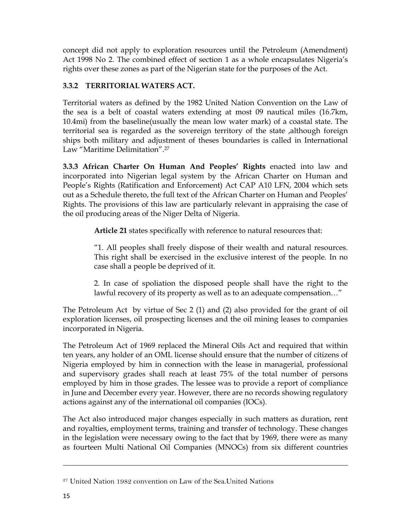concept did not apply to exploration resources until the Petroleum (Amendment) Act 1998 No 2. The combined effect of section 1 as a whole encapsulates Nigeria's rights over these zones as part of the Nigerian state for the purposes of the Act.

### **3.3.2 TERRITORIAL WATERS ACT.**

Territorial waters as defined by the 1982 United Nation Convention on the Law of the sea is a belt of coastal waters extending at most 09 nautical miles (16.7km, 10.4mi) from the baseline(usually the mean low water mark) of a coastal state. The territorial sea is regarded as the sovereign territory of the state ,although foreign ships both military and adjustment of theses boundaries is called in International Law "Maritime Delimitation".27

**3.3.3 African Charter On Human And Peoples' Rights** enacted into law and incorporated into Nigerian legal system by the African Charter on Human and People's Rights (Ratification and Enforcement) Act CAP A10 LFN, 2004 which sets out as a Schedule thereto, the full text of the African Charter on Human and Peoples' Rights. The provisions of this law are particularly relevant in appraising the case of the oil producing areas of the Niger Delta of Nigeria.

**Article 21** states specifically with reference to natural resources that:

"1. All peoples shall freely dispose of their wealth and natural resources. This right shall be exercised in the exclusive interest of the people. In no case shall a people be deprived of it.

2. In case of spoliation the disposed people shall have the right to the lawful recovery of its property as well as to an adequate compensation…"

The Petroleum Act by virtue of Sec 2 (1) and (2) also provided for the grant of oil exploration licenses, oil prospecting licenses and the oil mining leases to companies incorporated in Nigeria.

The Petroleum Act of 1969 replaced the Mineral Oils Act and required that within ten years, any holder of an OML license should ensure that the number of citizens of Nigeria employed by him in connection with the lease in managerial, professional and supervisory grades shall reach at least 75% of the total number of persons employed by him in those grades. The lessee was to provide a report of compliance in June and December every year. However, there are no records showing regulatory actions against any of the international oil companies (IOCs).

The Act also introduced major changes especially in such matters as duration, rent and royalties, employment terms, training and transfer of technology. These changes in the legislation were necessary owing to the fact that by 1969, there were as many as fourteen Multi National Oil Companies (MNOCs) from six different countries

<u> La Carlo de la Carlo de la Carlo de la Carlo de la Carlo de la Carlo de la Carlo de la Carlo de la Carlo de l</u>

<sup>27</sup> United Nation 1982 convention on Law of the Sea.United Nations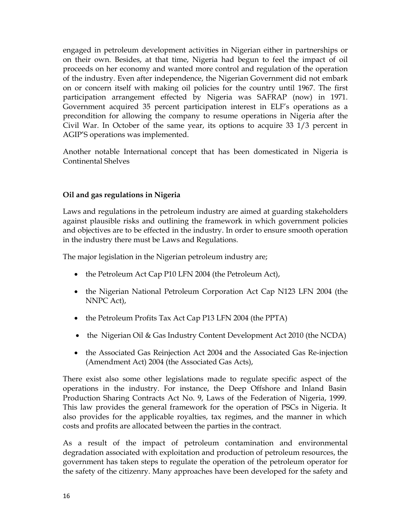engaged in petroleum development activities in Nigerian either in partnerships or on their own. Besides, at that time, Nigeria had begun to feel the impact of oil proceeds on her economy and wanted more control and regulation of the operation of the industry. Even after independence, the Nigerian Government did not embark on or concern itself with making oil policies for the country until 1967. The first participation arrangement effected by Nigeria was SAFRAP (now) in 1971. Government acquired 35 percent participation interest in ELF's operations as a precondition for allowing the company to resume operations in Nigeria after the Civil War. In October of the same year, its options to acquire 33 1/3 percent in AGIP'S operations was implemented.

Another notable International concept that has been domesticated in Nigeria is Continental Shelves

### **Oil and gas regulations in Nigeria**

Laws and regulations in the petroleum industry are aimed at guarding stakeholders against plausible risks and outlining the framework in which government policies and objectives are to be effected in the industry. In order to ensure smooth operation in the industry there must be Laws and Regulations.

The major legislation in the Nigerian petroleum industry are;

- the Petroleum Act Cap P10 LFN 2004 (the Petroleum Act),
- the Nigerian National Petroleum Corporation Act Cap N123 LFN 2004 (the NNPC Act),
- the Petroleum Profits Tax Act Cap P13 LFN 2004 (the PPTA)
- the Nigerian Oil & Gas Industry Content Development Act 2010 (the NCDA)
- the Associated Gas Reinjection Act 2004 and the Associated Gas Re-injection (Amendment Act) 2004 (the Associated Gas Acts),

There exist also some other legislations made to regulate specific aspect of the operations in the industry. For instance, the Deep Offshore and Inland Basin Production Sharing Contracts Act No. 9, Laws of the Federation of Nigeria, 1999. This law provides the general framework for the operation of PSCs in Nigeria. It also provides for the applicable royalties, tax regimes, and the manner in which costs and profits are allocated between the parties in the contract.

As a result of the impact of petroleum contamination and environmental degradation associated with exploitation and production of petroleum resources, the government has taken steps to regulate the operation of the petroleum operator for the safety of the citizenry. Many approaches have been developed for the safety and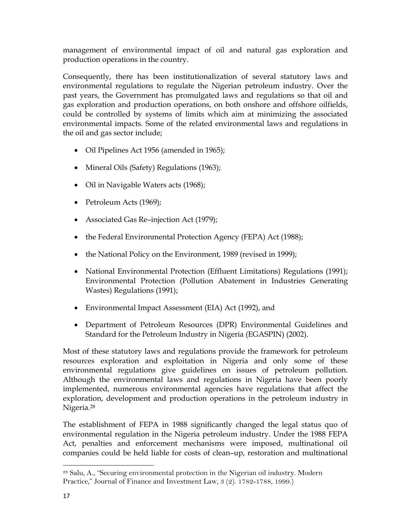management of environmental impact of oil and natural gas exploration and production operations in the country.

Consequently, there has been institutionalization of several statutory laws and environmental regulations to regulate the Nigerian petroleum industry. Over the past years, the Government has promulgated laws and regulations so that oil and gas exploration and production operations, on both onshore and offshore oilfields, could be controlled by systems of limits which aim at minimizing the associated environmental impacts. Some of the related environmental laws and regulations in the oil and gas sector include;

- Oil Pipelines Act 1956 (amended in 1965);
- Mineral Oils (Safety) Regulations (1963);
- Oil in Navigable Waters acts (1968);
- Petroleum Acts (1969);
- Associated Gas Re–injection Act (1979);
- the Federal Environmental Protection Agency (FEPA) Act (1988);
- the National Policy on the Environment, 1989 (revised in 1999);
- National Environmental Protection (Effluent Limitations) Regulations (1991); Environmental Protection (Pollution Abatement in Industries Generating Wastes) Regulations (1991);
- Environmental Impact Assessment (EIA) Act (1992), and
- Department of Petroleum Resources (DPR) Environmental Guidelines and Standard for the Petroleum Industry in Nigeria (EGASPIN) (2002).

Most of these statutory laws and regulations provide the framework for petroleum resources exploration and exploitation in Nigeria and only some of these environmental regulations give guidelines on issues of petroleum pollution. Although the environmental laws and regulations in Nigeria have been poorly implemented, numerous environmental agencies have regulations that affect the exploration, development and production operations in the petroleum industry in Nigeria.28

The establishment of FEPA in 1988 significantly changed the legal status quo of environmental regulation in the Nigeria petroleum industry. Under the 1988 FEPA Act, penalties and enforcement mechanisms were imposed, multinational oil companies could be held liable for costs of clean–up, restoration and multinational

 28 Salu, A., "Securing environmental protection in the Nigerian oil industry. Modern Practice," Journal of Finance and Investment Law, 3 (2). 1782-1788, 1999.)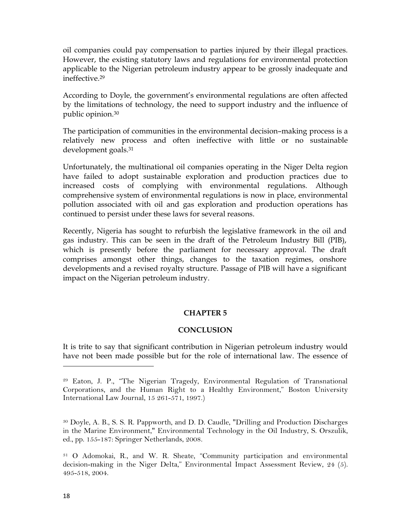oil companies could pay compensation to parties injured by their illegal practices. However, the existing statutory laws and regulations for environmental protection applicable to the Nigerian petroleum industry appear to be grossly inadequate and ineffective.29

According to Doyle, the government's environmental regulations are often affected by the limitations of technology, the need to support industry and the influence of public opinion.30

The participation of communities in the environmental decision–making process is a relatively new process and often ineffective with little or no sustainable development goals.31

Unfortunately, the multinational oil companies operating in the Niger Delta region have failed to adopt sustainable exploration and production practices due to increased costs of complying with environmental regulations. Although comprehensive system of environmental regulations is now in place, environmental pollution associated with oil and gas exploration and production operations has continued to persist under these laws for several reasons.

Recently, Nigeria has sought to refurbish the legislative framework in the oil and gas industry. This can be seen in the draft of the Petroleum Industry Bill (PIB), which is presently before the parliament for necessary approval. The draft comprises amongst other things, changes to the taxation regimes, onshore developments and a revised royalty structure. Passage of PIB will have a significant impact on the Nigerian petroleum industry.

#### **CHAPTER 5**

#### **CONCLUSION**

It is trite to say that significant contribution in Nigerian petroleum industry would have not been made possible but for the role of international law. The essence of

<sup>29</sup> Eaton, J. P., "The Nigerian Tragedy, Environmental Regulation of Transnational Corporations, and the Human Right to a Healthy Environment," Boston University International Law Journal, 15 261-571, 1997.)

<sup>30</sup> Doyle, A. B., S. S. R. Pappworth, and D. D. Caudle, "Drilling and Production Discharges in the Marine Environment," Environmental Technology in the Oil Industry, S. Orszulik, ed., pp. 155-187: Springer Netherlands, 2008.

<sup>31</sup> O Adomokai, R., and W. R. Sheate, "Community participation and environmental decision-making in the Niger Delta," Environmental Impact Assessment Review, 24 (5). 495-518, 2004.